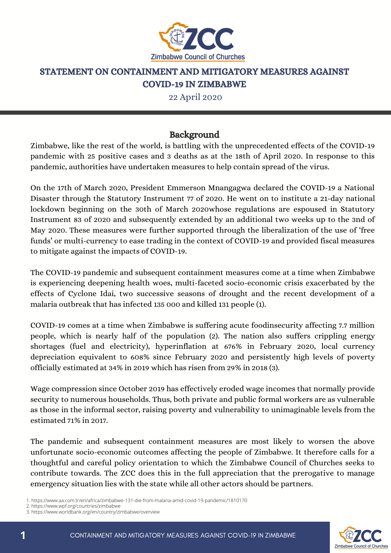

#### STATEMENT ON CONTAINMENT AND MITIGATORY MEASURES AGAINST COVID-19 IN ZIMBABWE

22 April 2020

## Background

Zimbabwe, like the rest of the world, is battling with the unprecedented effects of the COVID-19 pandemic with 25 positive cases and 3 deaths as at the 18th of April 2020. In response to this pandemic, authorities have undertaken measures to help contain spread of the virus.

On the 17th of March 2020, President Emmerson Mnangagwa declared the COVID-19 a National Disaster through the Statutory Instrument 77 of 2020. He went on to institute a 21-day national lockdown beginning on the 30th of March 2020whose regulations are espoused in Statutory Instrument 83 of 2020 and subsequently extended by an additional two weeks up to the 3nd of May 2020. These measures were further supported through the liberalization of the use of 'free funds' or multi-currency to ease trading in the context of COVID-19 and provided fiscal measures to mitigate against the impacts of COVID-19.

The COVID-19 pandemic and subsequent containment measures come at a time when Zimbabwe is experiencing deepening health woes, multi-faceted socio-economic crisis exacerbated by the effects of Cyclone Idai, two successive seasons of drought and the recent development of a malaria outbreak that has infected 135 000 and killed 131 people (1).

COVID-19 comes at a time when Zimbabwe is suffering acute foodinsecurity affecting 7.7 million people, which is nearly half of the population (2). The nation also suffers crippling energy shortages (fuel and electricity), hyperinflation at 676% in February 2020, local currency depreciation equivalent to 608% since February 2020 and persistently high levels of poverty officially estimated at 34% in 2019 which has risen from 29% in 2018 (3).

Wage compression since October 2019 has effectively eroded wage incomes that normally provide security to numerous households. Thus, both private and public formal workers are as vulnerable as those in the informal sector, raising poverty and vulnerability to unimaginable levels from the estimated 71% in 2017.

The pandemic and subsequent containment measures are most likely to worsen the above unfortunate socio-economic outcomes affecting the people of Zimbabwe. It therefore calls for a thoughtful and careful policy orientation to which the Zimbabwe Council of Churches seeks to contribute towards. The ZCC does this in the full appreciation that the prerogative to manage emergency situation lies with the state while all other actors should be partners.

2. https://www.wpf.org/countries/zimbabwe



<sup>1.</sup> https://www.aa.com.tr/en/africa/zimbabwe-131-die-from-malaria-amid-covid-19-pandemic/1810170

<sup>3.</sup> https://www.worldbank.org/en/country/zimbabwe/overview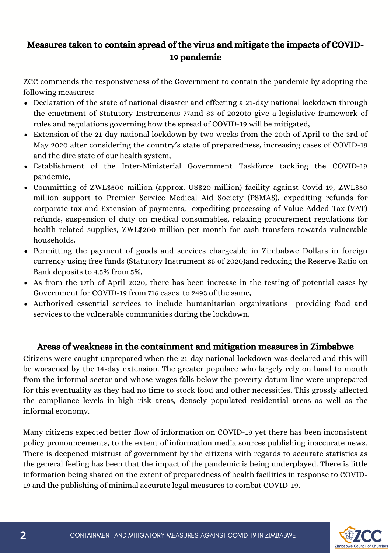# Measures taken to contain spread of the virus and mitigate the impacts of COVID-19 pandemic

ZCC commends the responsiveness of the Government to contain the pandemic by adopting the following measures:

- Declaration of the state of national disaster and effecting a 21-day national lockdown through the enactment of Statutory Instruments 77and 83 of 2020to give a legislative framework of rules and regulations governing how the spread of COVID-19 will be mitigated,
- Extension of the 21-day national lockdown by two weeks from the 20th of April to the 3rd of May 2020 after considering the country's state of preparedness, increasing cases of COVID-19 and the dire state of our health system,
- Establishment of the Inter-Ministerial Government Taskforce tackling the COVID-19 pandemic,
- Committing of ZWL\$500 million (approx. US\$20 million) facility against Covid-19, ZWL\$50 million support to Premier Service Medical Aid Society (PSMAS), expediting refunds for corporate tax and Extension of payments, expediting processing of Value Added Tax (VAT) refunds, suspension of duty on medical consumables, relaxing procurement regulations for health related supplies, ZWL\$200 million per month for cash transfers towards vulnerable households,
- Permitting the payment of goods and services chargeable in Zimbabwe Dollars in foreign currency using free funds (Statutory Instrument 85 of 2020)and reducing the Reserve Ratio on Bank deposits to 4.5% from 5%,
- As from the 17th of April 2020, there has been increase in the testing of potential cases by Government for COVID-19 from 716 cases to 2493 of the same,
- Authorized essential services to include humanitarian organizations providing food and services to the vulnerable communities during the lockdown,

### Areas of weakness in the containment and mitigation measures in Zimbabwe

Citizens were caught unprepared when the 21-day national lockdown was declared and this will be worsened by the 14-day extension. The greater populace who largely rely on hand to mouth from the informal sector and whose wages falls below the poverty datum line were unprepared for this eventuality as they had no time to stock food and other necessities. This grossly affected the compliance levels in high risk areas, densely populated residential areas as well as the informal economy.

Many citizens expected better flow of information on COVID-19 yet there has been inconsistent policy pronouncements, to the extent of information media sources publishing inaccurate news. There is deepened mistrust of government by the citizens with regards to accurate statistics as the general feeling has been that the impact of the pandemic is being underplayed. There is little information being shared on the extent of preparedness of health facilities in response to COVID-19 and the publishing of minimal accurate legal measures to combat COVID-19.

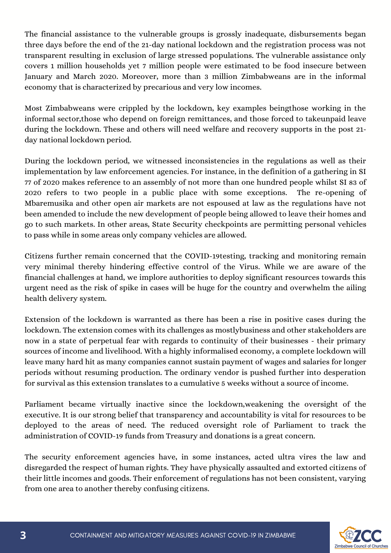The financial assistance to the vulnerable groups is grossly inadequate, disbursements began three days before the end of the 21-day national lockdown and the registration process was not transparent resulting in exclusion of large stressed populations. The vulnerable assistance only covers 1 million households yet 7 million people were estimated to be food insecure between January and March 2020. Moreover, more than 3 million Zimbabweans are in the informal economy that is characterized by precarious and very low incomes.

Most Zimbabweans were crippled by the lockdown, key examples beingthose working in the informal sector,those who depend on foreign remittances, and those forced to takeunpaid leave during the lockdown. These and others will need welfare and recovery supports in the post 21 day national lockdown period.

During the lockdown period, we witnessed inconsistencies in the regulations as well as their implementation by law enforcement agencies. For instance, in the definition of a gathering in SI 77 of 2020 makes reference to an assembly of not more than one hundred people whilst SI 83 of 2020 refers to two people in a public place with some exceptions. The re-opening of Mbaremusika and other open air markets are not espoused at law as the regulations have not been amended to include the new development of people being allowed to leave their homes and go to such markets. In other areas, State Security checkpoints are permitting personal vehicles to pass while in some areas only company vehicles are allowed.

Citizens further remain concerned that the COVID-19testing, tracking and monitoring remain very minimal thereby hindering effective control of the Virus. While we are aware of the financial challenges at hand, we implore authorities to deploy significant resources towards this urgent need as the risk of spike in cases will be huge for the country and overwhelm the ailing health delivery system.

Extension of the lockdown is warranted as there has been a rise in positive cases during the lockdown. The extension comes with its challenges as mostlybusiness and other stakeholders are now in a state of perpetual fear with regards to continuity of their businesses - their primary sources of income and livelihood. With a highly informalised economy, a complete lockdown will leave many hard hit as many companies cannot sustain payment of wages and salaries for longer periods without resuming production. The ordinary vendor is pushed further into desperation for survival as this extension translates to a cumulative 5 weeks without a source of income.

Parliament became virtually inactive since the lockdown,weakening the oversight of the executive. It is our strong belief that transparency and accountability is vital for resources to be deployed to the areas of need. The reduced oversight role of Parliament to track the administration of COVID-19 funds from Treasury and donations is a great concern.

The security enforcement agencies have, in some instances, acted ultra vires the law and disregarded the respect of human rights. They have physically assaulted and extorted citizens of their little incomes and goods. Their enforcement of regulations has not been consistent, varying from one area to another thereby confusing citizens.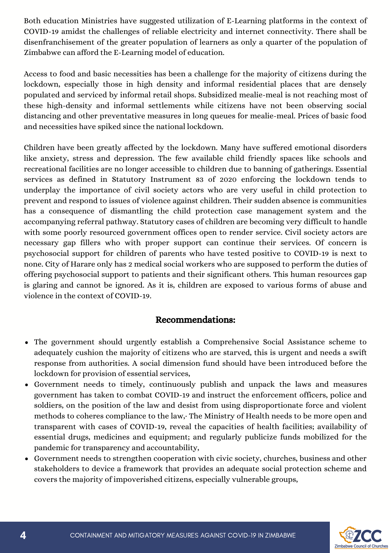Both education Ministries have suggested utilization of E-Learning platforms in the context of COVID-19 amidst the challenges of reliable electricity and internet connectivity. There shall be disenfranchisement of the greater population of learners as only a quarter of the population of Zimbabwe can afford the E-Learning model of education.

Access to food and basic necessities has been a challenge for the majority of citizens during the lockdown, especially those in high density and informal residential places that are densely populated and serviced by informal retail shops. Subsidized mealie-meal is not reaching most of these high-density and informal settlements while citizens have not been observing social distancing and other preventative measures in long queues for mealie-meal. Prices of basic food and necessities have spiked since the national lockdown.

Children have been greatly affected by the lockdown. Many have suffered emotional disorders like anxiety, stress and depression. The few available child friendly spaces like schools and recreational facilities are no longer accessible to children due to banning of gatherings. Essential services as defined in Statutory Instrument 83 of 2020 enforcing the lockdown tends to underplay the importance of civil society actors who are very useful in child protection to prevent and respond to issues of violence against children. Their sudden absence is communities has a consequence of dismantling the child protection case management system and the accompanying referral pathway. Statutory cases of children are becoming very difficult to handle with some poorly resourced government offices open to render service. Civil society actors are necessary gap fillers who with proper support can continue their services. Of concern is psychosocial support for children of parents who have tested positive to COVID-19 is next to none. City of Harare only has 2 medical social workers who are supposed to perform the duties of offering psychosocial support to patients and their significant others. This human resources gap is glaring and cannot be ignored. As it is, children are exposed to various forms of abuse and violence in the context of COVID-19.

## Recommendations:

- The government should urgently establish a Comprehensive Social Assistance scheme to adequately cushion the majority of citizens who are starved, this is urgent and needs a swift response from authorities. A social dimension fund should have been introduced before the lockdown for provision of essential services,
- Government needs to timely, continuously publish and unpack the laws and measures government has taken to combat COVID-19 and instruct the enforcement officers, police and soldiers, on the position of the law and desist from using disproportionate force and violent methods to coheres compliance to the law,· The Ministry of Health needs to be more open and transparent with cases of COVID-19, reveal the capacities of health facilities; availability of essential drugs, medicines and equipment; and regularly publicize funds mobilized for the pandemic for transparency and accountability,
- Government needs to strengthen cooperation with civic society, churches, business and other stakeholders to device a framework that provides an adequate social protection scheme and covers the majority of impoverished citizens, especially vulnerable groups,